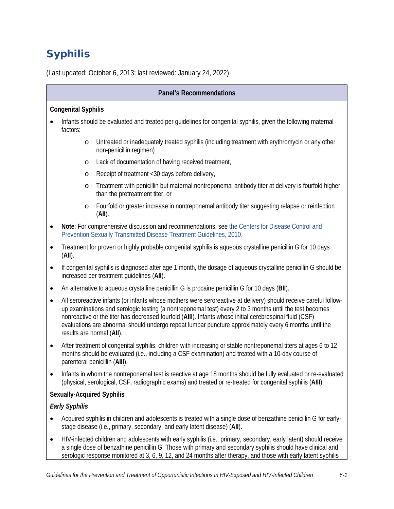# Syphilis

(Last updated: October 6, 2013; last reviewed: January 24, 2022)

#### **Congenital Syphilis**

- Infants should be evaluated and treated per guidelines for congenital syphilis, given the following maternal factors:
	- o Untreated or inadequately treated syphilis (including treatment with erythromycin or any other non-penicillin regimen)
	- o Lack of documentation of having received treatment,
	- o Receipt of treatment <30 days before delivery,
	- o Treatment with penicillin but maternal nontreponemal antibody titer at delivery is fourfold higher than the pretreatment titer, or
	- o Fourfold or greater increase in nontreponemal antibody titer suggesting relapse or reinfection (**AII**).
- **Note**: For comprehensive discussion and recommendations, se[e the Centers for Disease Control and](https://www.cdc.gov/mmwr/pdf/rr/rr5912.pdf)  [Prevention Sexually Transmitted Disease Treatment Guidelines, 2010.](https://www.cdc.gov/mmwr/pdf/rr/rr5912.pdf)
- Treatment for proven or highly probable congenital syphilis is aqueous crystalline penicillin G for 10 days (**AII**).
- If congenital syphilis is diagnosed after age 1 month, the dosage of aqueous crystalline penicillin G should be increased per treatment guidelines (**AII**).
- An alternative to aqueous crystalline penicillin G is procaine penicillin G for 10 days (**BII**).
- All seroreactive infants (or infants whose mothers were seroreactive at delivery) should receive careful followup examinations and serologic testing (a nontreponemal test) every 2 to 3 months until the test becomes nonreactive or the titer has decreased fourfold (**AIII**). Infants whose initial cerebrospinal fluid (CSF) evaluations are abnormal should undergo repeat lumbar puncture approximately every 6 months until the results are normal (**AII**).
- After treatment of congenital syphilis, children with increasing or stable nontreponemal titers at ages 6 to 12 months should be evaluated (i.e., including a CSF examination) and treated with a 10-day course of parenteral penicillin (**AIII**).
- Infants in whom the nontreponemal test is reactive at age 18 months should be fully evaluated or re-evaluated (physical, serological, CSF, radiographic exams) and treated or re-treated for congenital syphilis (**AIII**).

#### **Sexually-Acquired Syphilis**

#### *Early Syphilis*

- Acquired syphilis in children and adolescents is treated with a single dose of benzathine penicillin G for earlystage disease (i.e., primary, secondary, and early latent disease) (**AII**).
- HIV-infected children and adolescents with early syphilis (i.e., primary, secondary, early latent) should receive a single dose of benzathine penicillin G. Those with primary and secondary syphilis should have clinical and serologic response monitored at 3, 6, 9, 12, and 24 months after therapy, and those with early latent syphilis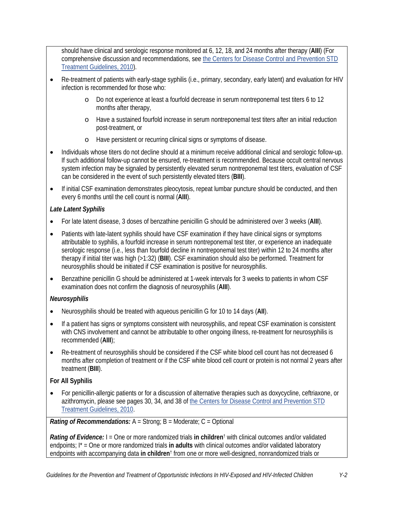should have clinical and serologic response monitored at 6, 12, 18, and 24 months after therapy (**AIII**) (For comprehensive discussion and recommendations, see [the Centers for Disease Control and Prevention STD](https://www.cdc.gov/mmwr/pdf/rr/rr5912.pdf)  [Treatment Guidelines, 2010\)](https://www.cdc.gov/mmwr/pdf/rr/rr5912.pdf).

- Re-treatment of patients with early-stage syphilis (i.e., primary, secondary, early latent) and evaluation for HIV infection is recommended for those who:
	- o Do not experience at least a fourfold decrease in serum nontreponemal test titers 6 to 12 months after therapy,
	- o Have a sustained fourfold increase in serum nontreponemal test titers after an initial reduction post-treatment, or
	- o Have persistent or recurring clinical signs or symptoms of disease.
- Individuals whose titers do not decline should at a minimum receive additional clinical and serologic follow-up. If such additional follow-up cannot be ensured, re-treatment is recommended. Because occult central nervous system infection may be signaled by persistently elevated serum nontreponemal test titers, evaluation of CSF can be considered in the event of such persistently elevated titers (**BIII**).
- If initial CSF examination demonstrates pleocytosis, repeat lumbar puncture should be conducted, and then every 6 months until the cell count is normal (**AIII**).

#### *Late Latent Syphilis*

- For late latent disease, 3 doses of benzathine penicillin G should be administered over 3 weeks (**AIII**).
- Patients with late-latent syphilis should have CSF examination if they have clinical signs or symptoms attributable to syphilis, a fourfold increase in serum nontreponemal test titer, or experience an inadequate serologic response (i.e., less than fourfold decline in nontreponemal test titer) within 12 to 24 months after therapy if initial titer was high (>1:32) (**BIII**). CSF examination should also be performed. Treatment for neurosyphilis should be initiated if CSF examination is positive for neurosyphilis.
- Benzathine penicillin G should be administered at 1-week intervals for 3 weeks to patients in whom CSF examination does not confirm the diagnosis of neurosyphilis (**AIII**).

#### *Neurosyphilis*

- Neurosyphilis should be treated with aqueous penicillin G for 10 to 14 days (**AII**).
- If a patient has signs or symptoms consistent with neurosyphilis, and repeat CSF examination is consistent with CNS involvement and cannot be attributable to other ongoing illness, re-treatment for neurosyphilis is recommended (**AIII**);
- Re-treatment of neurosyphilis should be considered if the CSF white blood cell count has not decreased 6 months after completion of treatment or if the CSF white blood cell count or protein is not normal 2 years after treatment (**BIII**).

## **For All Syphilis**

• For penicillin-allergic patients or for a discussion of alternative therapies such as doxycycline, ceftriaxone, or azithromycin, please see pages 30, 34, and 38 of [the Centers for Disease Control and Prevention STD](https://www.cdc.gov/mmwr/pdf/rr/rr5912.pdf)  [Treatment Guidelines, 2010.](https://www.cdc.gov/mmwr/pdf/rr/rr5912.pdf)

#### *Rating of Recommendations:* A = Strong; B = Moderate; C = Optional

*Rating of Evidence:* I = One or more randomized trials **in children**† with clinical outcomes and/or validated endpoints; I\* = One or more randomized trials **in adults** with clinical outcomes and/or validated laboratory endpoints with accompanying data **in children**† from one or more well-designed, nonrandomized trials or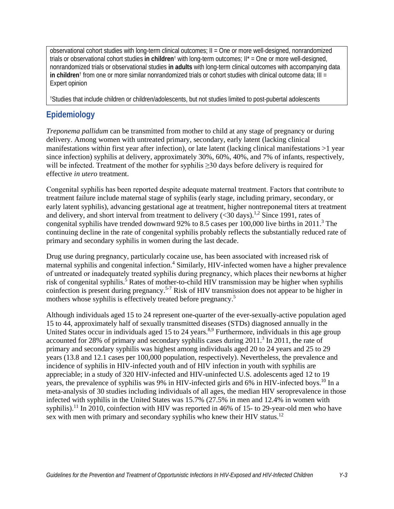observational cohort studies with long-term clinical outcomes; II = One or more well-designed, nonrandomized trials or observational cohort studies **in children**† with long-term outcomes; II\* = One or more well-designed, nonrandomized trials or observational studies **in adults** with long-term clinical outcomes with accompanying data **in children**† from one or more similar nonrandomized trials or cohort studies with clinical outcome data; III = Expert opinion

†Studies that include children or children/adolescents, but not studies limited to post-pubertal adolescents

# **Epidemiology**

*Treponema pallidum* can be transmitted from mother to child at any stage of pregnancy or during delivery. Among women with untreated primary, secondary, early latent (lacking clinical manifestations within first year after infection), or late latent (lacking clinical manifestations >1 year since infection) syphilis at delivery, approximately 30%, 60%, 40%, and 7% of infants, respectively, will be infected. Treatment of the mother for syphilis  $\geq$ 30 days before delivery is required for effective *in utero* treatment.

Congenital syphilis has been reported despite adequate maternal treatment. Factors that contribute to treatment failure include maternal stage of syphilis (early stage, including primary, secondary, or early latent syphilis), advancing gestational age at treatment, higher nontreponemal titers at treatment and delivery, and short interval from treatment to delivery  $( $30 \text{ days}$ )$ .<sup>1,2</sup> Since 1991, rates of congenital syphilis have trended downward 92% to 8.5 cases per  $100,000$  live births in 2011.<sup>3</sup> The continuing decline in the rate of congenital syphilis probably reflects the substantially reduced rate of primary and secondary syphilis in women during the last decade.

Drug use during pregnancy, particularly cocaine use, has been associated with increased risk of maternal syphilis and congenital infection.<sup>4</sup> Similarly, HIV-infected women have a higher prevalence of untreated or inadequately treated syphilis during pregnancy, which places their newborns at higher risk of congenital syphilis.<sup>5</sup> Rates of mother-to-child HIV transmission may be higher when syphilis coinfection is present during pregnancy.5-7 Risk of HIV transmission does not appear to be higher in mothers whose syphilis is effectively treated before pregnancy.<sup>5</sup>

Although individuals aged 15 to 24 represent one-quarter of the ever-sexually-active population aged 15 to 44, approximately half of sexually transmitted diseases (STDs) diagnosed annually in the United States occur in individuals aged 15 to 24 years.<sup>8,9</sup> Furthermore, individuals in this age group accounted for 28% of primary and secondary syphilis cases during 2011.<sup>3</sup> In 2011, the rate of primary and secondary syphilis was highest among individuals aged 20 to 24 years and 25 to 29 years (13.8 and 12.1 cases per 100,000 population, respectively). Nevertheless, the prevalence and incidence of syphilis in HIV-infected youth and of HIV infection in youth with syphilis are appreciable; in a study of 320 HIV-infected and HIV-uninfected U.S. adolescents aged 12 to 19 years, the prevalence of syphilis was 9% in HIV-infected girls and 6% in HIV-infected boys.<sup>10</sup> In a meta-analysis of 30 studies including individuals of all ages, the median HIV seroprevalence in those infected with syphilis in the United States was 15.7% (27.5% in men and 12.4% in women with syphilis).<sup>11</sup> In 2010, coinfection with HIV was reported in 46% of 15- to 29-year-old men who have sex with men with primary and secondary syphilis who knew their HIV status.<sup>12</sup>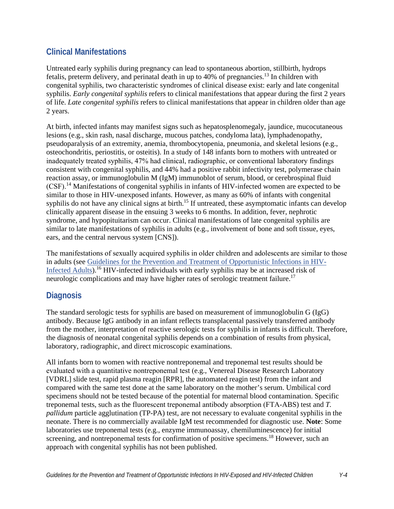## **Clinical Manifestations**

Untreated early syphilis during pregnancy can lead to spontaneous abortion, stillbirth, hydrops fetalis, preterm delivery, and perinatal death in up to 40% of pregnancies.<sup>13</sup> In children with congenital syphilis, two characteristic syndromes of clinical disease exist: early and late congenital syphilis. *Early congenital syphilis* refers to clinical manifestations that appear during the first 2 years of life. *Late congenital syphilis* refers to clinical manifestations that appear in children older than age 2 years.

At birth, infected infants may manifest signs such as hepatosplenomegaly, jaundice, mucocutaneous lesions (e.g., skin rash, nasal discharge, mucous patches, condyloma lata), lymphadenopathy, pseudoparalysis of an extremity, anemia, thrombocytopenia, pneumonia, and skeletal lesions (e.g., osteochondritis, periostitis, or osteitis). In a study of 148 infants born to mothers with untreated or inadequately treated syphilis, 47% had clinical, radiographic, or conventional laboratory findings consistent with congenital syphilis, and 44% had a positive rabbit infectivity test, polymerase chain reaction assay, or immunoglobulin M (IgM) immunoblot of serum, blood, or cerebrospinal fluid (CSF).14 Manifestations of congenital syphilis in infants of HIV-infected women are expected to be similar to those in HIV-unexposed infants. However, as many as 60% of infants with congenital syphilis do not have any clinical signs at birth.<sup>15</sup> If untreated, these asymptomatic infants can develop clinically apparent disease in the ensuing 3 weeks to 6 months. In addition, fever, nephrotic syndrome, and hypopituitarism can occur. Clinical manifestations of late congenital syphilis are similar to late manifestations of syphilis in adults (e.g., involvement of bone and soft tissue, eyes, ears, and the central nervous system [CNS]).

The manifestations of sexually acquired syphilis in older children and adolescents are similar to those in adults (see [Guidelines for the Prevention and Treatment of Opportunistic Infections in HIV-](https://clinicalinfo.hiv.gov/en/guidelines/adult-and-adolescent-opportunistic-infection/whats-new-guidelines)[Infected Adults\)](https://clinicalinfo.hiv.gov/en/guidelines/adult-and-adolescent-opportunistic-infection/whats-new-guidelines).<sup>16</sup> HIV-infected individuals with early syphilis may be at increased risk of neurologic complications and may have higher rates of serologic treatment failure.<sup>17</sup>

## **Diagnosis**

The standard serologic tests for syphilis are based on measurement of immunoglobulin G (IgG) antibody. Because IgG antibody in an infant reflects transplacental passively transferred antibody from the mother, interpretation of reactive serologic tests for syphilis in infants is difficult. Therefore, the diagnosis of neonatal congenital syphilis depends on a combination of results from physical, laboratory, radiographic, and direct microscopic examinations.

All infants born to women with reactive nontreponemal and treponemal test results should be evaluated with a quantitative nontreponemal test (e.g., Venereal Disease Research Laboratory [VDRL] slide test, rapid plasma reagin [RPR], the automated reagin test) from the infant and compared with the same test done at the same laboratory on the mother's serum. Umbilical cord specimens should not be tested because of the potential for maternal blood contamination. Specific treponemal tests, such as the fluorescent treponemal antibody absorption (FTA-ABS) test and *T. pallidum* particle agglutination (TP-PA) test, are not necessary to evaluate congenital syphilis in the neonate. There is no commercially available IgM test recommended for diagnostic use. **Note**: Some laboratories use treponemal tests (e.g., enzyme immunoassay, chemiluminescence) for initial screening, and nontreponemal tests for confirmation of positive specimens.<sup>18</sup> However, such an approach with congenital syphilis has not been published.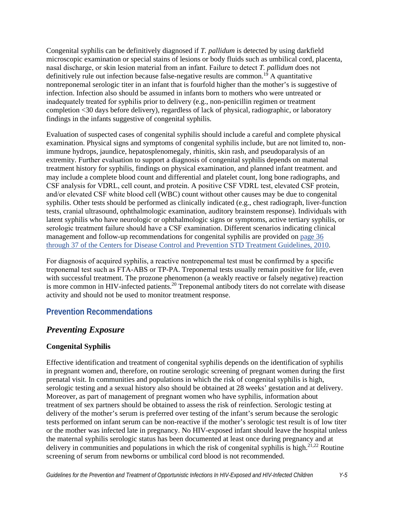Congenital syphilis can be definitively diagnosed if *T. pallidum* is detected by using darkfield microscopic examination or special stains of lesions or body fluids such as umbilical cord, placenta, nasal discharge, or skin lesion material from an infant. Failure to detect *T. pallidum* does not definitively rule out infection because false-negative results are common.<sup>19</sup> A quantitative nontreponemal serologic titer in an infant that is fourfold higher than the mother's is suggestive of infection. Infection also should be assumed in infants born to mothers who were untreated or inadequately treated for syphilis prior to delivery (e.g., non-penicillin regimen or treatment completion <30 days before delivery), regardless of lack of physical, radiographic, or laboratory findings in the infants suggestive of congenital syphilis.

Evaluation of suspected cases of congenital syphilis should include a careful and complete physical examination. Physical signs and symptoms of congenital syphilis include, but are not limited to, nonimmune hydrops, jaundice, hepatosplenomegaly, rhinitis, skin rash, and pseudoparalysis of an extremity. Further evaluation to support a diagnosis of congenital syphilis depends on maternal treatment history for syphilis, findings on physical examination, and planned infant treatment. and may include a complete blood count and differential and platelet count, long bone radiographs, and CSF analysis for VDRL, cell count, and protein. A positive CSF VDRL test, elevated CSF protein, and/or elevated CSF white blood cell (WBC) count without other causes may be due to congenital syphilis. Other tests should be performed as clinically indicated (e.g., chest radiograph, liver-function tests, cranial ultrasound, ophthalmologic examination, auditory brainstem response). Individuals with latent syphilis who have neurologic or ophthalmologic signs or symptoms, active tertiary syphilis, or serologic treatment failure should have a CSF examination. Different scenarios indicating clinical management and follow-up recommendations for congenital syphilis are provided on [page 36](https://www.cdc.gov/mmwr/pdf/rr/rr5912.pdf)  [through 37 of the Centers for Disease Control and Prevention](https://www.cdc.gov/mmwr/pdf/rr/rr5912.pdf) STD Treatment Guidelines, 2010.

For diagnosis of acquired syphilis, a reactive nontreponemal test must be confirmed by a specific treponemal test such as FTA-ABS or TP-PA. Treponemal tests usually remain positive for life, even with successful treatment. The prozone phenomenon (a weakly reactive or falsely negative) reaction is more common in HIV-infected patients.<sup>20</sup> Treponemal antibody titers do not correlate with disease activity and should not be used to monitor treatment response.

## **Prevention Recommendations**

# *Preventing Exposure*

## **Congenital Syphilis**

Effective identification and treatment of congenital syphilis depends on the identification of syphilis in pregnant women and, therefore, on routine serologic screening of pregnant women during the first prenatal visit. In communities and populations in which the risk of congenital syphilis is high, serologic testing and a sexual history also should be obtained at 28 weeks' gestation and at delivery. Moreover, as part of management of pregnant women who have syphilis, information about treatment of sex partners should be obtained to assess the risk of reinfection. Serologic testing at delivery of the mother's serum is preferred over testing of the infant's serum because the serologic tests performed on infant serum can be non-reactive if the mother's serologic test result is of low titer or the mother was infected late in pregnancy. No HIV-exposed infant should leave the hospital unless the maternal syphilis serologic status has been documented at least once during pregnancy and at delivery in communities and populations in which the risk of congenital syphilis is high. $2^{1,22}$  Routine screening of serum from newborns or umbilical cord blood is not recommended.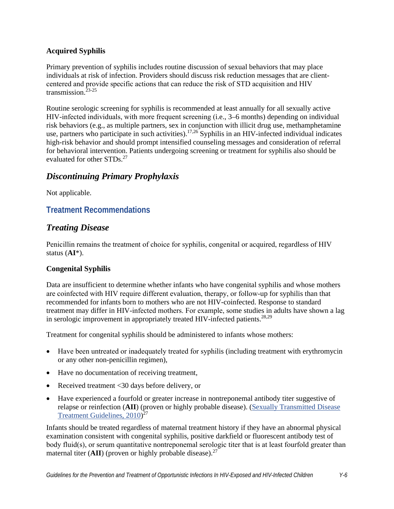#### **Acquired Syphilis**

Primary prevention of syphilis includes routine discussion of sexual behaviors that may place individuals at risk of infection. Providers should discuss risk reduction messages that are clientcentered and provide specific actions that can reduce the risk of STD acquisition and HIV transmission $23-25$ 

Routine serologic screening for syphilis is recommended at least annually for all sexually active HIV-infected individuals, with more frequent screening (i.e., 3–6 months) depending on individual risk behaviors (e.g., as multiple partners, sex in conjunction with illicit drug use, methamphetamine use, partners who participate in such activities).<sup>17,26</sup> Syphilis in an HIV-infected individual indicates high-risk behavior and should prompt intensified counseling messages and consideration of referral for behavioral intervention. Patients undergoing screening or treatment for syphilis also should be evaluated for other STDs.<sup>27</sup>

## *Discontinuing Primary Prophylaxis*

Not applicable.

## **Treatment Recommendations**

## *Treating Disease*

Penicillin remains the treatment of choice for syphilis, congenital or acquired, regardless of HIV status (**AI**\*).

#### **Congenital Syphilis**

Data are insufficient to determine whether infants who have congenital syphilis and whose mothers are coinfected with HIV require different evaluation, therapy, or follow-up for syphilis than that recommended for infants born to mothers who are not HIV-coinfected. Response to standard treatment may differ in HIV-infected mothers. For example, some studies in adults have shown a lag in serologic improvement in appropriately treated HIV-infected patients.<sup>28,29</sup>

Treatment for congenital syphilis should be administered to infants whose mothers:

- Have been untreated or inadequately treated for syphilis (including treatment with erythromycin or any other non-penicillin regimen),
- Have no documentation of receiving treatment,
- Received treatment <30 days before delivery, or
- Have experienced a fourfold or greater increase in nontreponemal antibody titer suggestive of relapse or reinfection (**AII**) (proven or highly probable disease). [\(Sexually Transmitted Disease](http://www.cdc.gov/mmwr/pdf/rr/rr5912.pdf#=page36)  [Treatment Guidelines, 2010\)](http://www.cdc.gov/mmwr/pdf/rr/rr5912.pdf#=page36)<sup>27</sup>

Infants should be treated regardless of maternal treatment history if they have an abnormal physical examination consistent with congenital syphilis, positive darkfield or fluorescent antibody test of body fluid(s), or serum quantitative nontreponemal serologic titer that is at least fourfold greater than maternal titer  $(AII)$  (proven or highly probable disease).<sup>27</sup>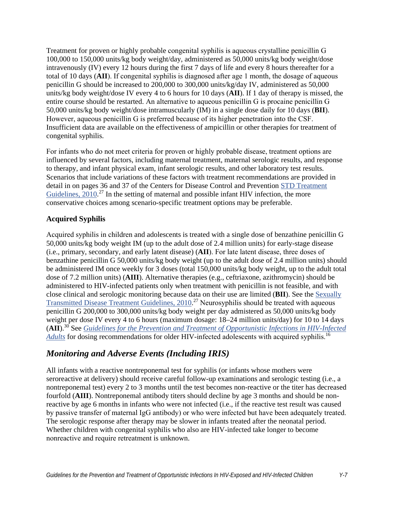Treatment for proven or highly probable congenital syphilis is aqueous crystalline penicillin G 100,000 to 150,000 units/kg body weight/day, administered as 50,000 units/kg body weight/dose intravenously (IV) every 12 hours during the first 7 days of life and every 8 hours thereafter for a total of 10 days (**AII**). If congenital syphilis is diagnosed after age 1 month, the dosage of aqueous penicillin G should be increased to 200,000 to 300,000 units/kg/day IV, administered as 50,000 units/kg body weight/dose IV every 4 to 6 hours for 10 days (**AII**). If 1 day of therapy is missed, the entire course should be restarted. An alternative to aqueous penicillin G is procaine penicillin G 50,000 units/kg body weight/dose intramuscularly (IM) in a single dose daily for 10 days (**BII**). However, aqueous penicillin G is preferred because of its higher penetration into the CSF. Insufficient data are available on the effectiveness of ampicillin or other therapies for treatment of congenital syphilis.

For infants who do not meet criteria for proven or highly probable disease, treatment options are influenced by several factors, including maternal treatment, maternal serologic results, and response to therapy, and infant physical exam, infant serologic results, and other laboratory test results. Scenarios that include variations of these factors with treatment recommendations are provided in detail in on pages 36 and 37 of the Centers for Disease Control and Prevention [STD Treatment](http://www.cdc.gov/mmwr/pdf/rr/rr5912.pdf#=page36)  [Guidelines, 2010](http://www.cdc.gov/mmwr/pdf/rr/rr5912.pdf#=page36).<sup>27</sup> In the setting of maternal and possible infant HIV infection, the more conservative choices among scenario-specific treatment options may be preferable.

#### **Acquired Syphilis**

Acquired syphilis in children and adolescents is treated with a single dose of benzathine penicillin G 50,000 units/kg body weight IM (up to the adult dose of 2.4 million units) for early-stage disease (i.e., primary, secondary, and early latent disease) (**AII**). For late latent disease, three doses of benzathine penicillin G 50,000 units/kg body weight (up to the adult dose of 2.4 million units) should be administered IM once weekly for 3 doses (total 150,000 units/kg body weight, up to the adult total dose of 7.2 million units) (**AIII**). Alternative therapies (e.g., ceftriaxone, azithromycin) should be administered to HIV-infected patients only when treatment with penicillin is not feasible, and with close clinical and serologic monitoring because data on their use are limited (**BII**). See the [Sexually](http://www.cdc.gov/mmwr/pdf/rr/rr5912.pdf#=page36)  [Transmitted Disease Treatment Guidelines, 2010.](http://www.cdc.gov/mmwr/pdf/rr/rr5912.pdf#=page36)<sup>27</sup> Neurosyphilis should be treated with aqueous penicillin G 200,000 to 300,000 units/kg body weight per day admistered as 50,000 units/kg body weight per dose IV every 4 to 6 hours (maximum dosage: 18–24 million units/day) for 10 to 14 days (**AII**).<sup>30</sup> See *[Guidelines for the Prevention and Treatment of Opportunistic Infections in HIV-Infected](https://clinicalinfo.hiv.gov/en/guidelines/adult-and-adolescent-opportunistic-infection/whats-new-guidelines)  [Adults](https://clinicalinfo.hiv.gov/en/guidelines/adult-and-adolescent-opportunistic-infection/whats-new-guidelines)* for dosing recommendations for older HIV-infected adolescents with acquired syphilis.<sup>16</sup>

## *Monitoring and Adverse Events (Including IRIS)*

All infants with a reactive nontreponemal test for syphilis (or infants whose mothers were seroreactive at delivery) should receive careful follow-up examinations and serologic testing (i.e., a nontreponemal test) every 2 to 3 months until the test becomes non-reactive or the titer has decreased fourfold (**AIII**). Nontreponemal antibody titers should decline by age 3 months and should be nonreactive by age 6 months in infants who were not infected (i.e., if the reactive test result was caused by passive transfer of maternal IgG antibody) or who were infected but have been adequately treated. The serologic response after therapy may be slower in infants treated after the neonatal period. Whether children with congenital syphilis who also are HIV-infected take longer to become nonreactive and require retreatment is unknown.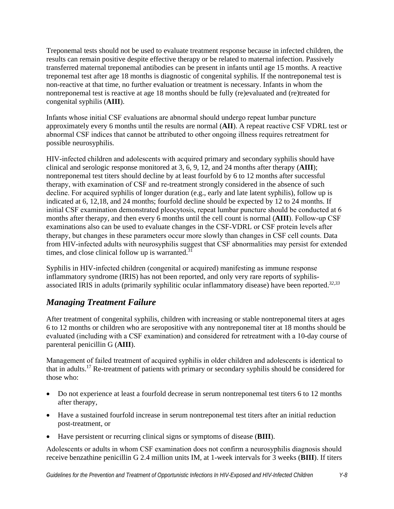Treponemal tests should not be used to evaluate treatment response because in infected children, the results can remain positive despite effective therapy or be related to maternal infection. Passively transferred maternal treponemal antibodies can be present in infants until age 15 months. A reactive treponemal test after age 18 months is diagnostic of congenital syphilis. If the nontreponemal test is non-reactive at that time, no further evaluation or treatment is necessary. Infants in whom the nontreponemal test is reactive at age 18 months should be fully (re)evaluated and (re)treated for congenital syphilis (**AIII**).

Infants whose initial CSF evaluations are abnormal should undergo repeat lumbar puncture approximately every 6 months until the results are normal (**AII**). A repeat reactive CSF VDRL test or abnormal CSF indices that cannot be attributed to other ongoing illness requires retreatment for possible neurosyphilis.

HIV-infected children and adolescents with acquired primary and secondary syphilis should have clinical and serologic response monitored at 3, 6, 9, 12, and 24 months after therapy (**AIII**); nontreponemal test titers should decline by at least fourfold by 6 to 12 months after successful therapy, with examination of CSF and re-treatment strongly considered in the absence of such decline. For acquired syphilis of longer duration (e.g., early and late latent syphilis), follow up is indicated at 6, 12,18, and 24 months; fourfold decline should be expected by 12 to 24 months. If initial CSF examination demonstrated pleocytosis, repeat lumbar puncture should be conducted at 6 months after therapy, and then every 6 months until the cell count is normal (**AIII**). Follow-up CSF examinations also can be used to evaluate changes in the CSF-VDRL or CSF protein levels after therapy, but changes in these parameters occur more slowly than changes in CSF cell counts. Data from HIV-infected adults with neurosyphilis suggest that CSF abnormalities may persist for extended times, and close clinical follow up is warranted. $31$ 

Syphilis in HIV-infected children (congenital or acquired) manifesting as immune response inflammatory syndrome (IRIS) has not been reported, and only very rare reports of syphilisassociated IRIS in adults (primarily syphilitic ocular inflammatory disease) have been reported.*32,33*

# *Managing Treatment Failure*

After treatment of congenital syphilis, children with increasing or stable nontreponemal titers at ages 6 to 12 months or children who are seropositive with any nontreponemal titer at 18 months should be evaluated (including with a CSF examination) and considered for retreatment with a 10-day course of parenteral penicillin G (**AIII**).

Management of failed treatment of acquired syphilis in older children and adolescents is identical to that in adults.17 Re-treatment of patients with primary or secondary syphilis should be considered for those who:

- Do not experience at least a fourfold decrease in serum nontreponemal test titers 6 to 12 months after therapy,
- Have a sustained fourfold increase in serum nontreponemal test titers after an initial reduction post-treatment, or
- Have persistent or recurring clinical signs or symptoms of disease (**BIII**).

Adolescents or adults in whom CSF examination does not confirm a neurosyphilis diagnosis should receive benzathine penicillin G 2.4 million units IM, at 1-week intervals for 3 weeks (**BIII**). If titers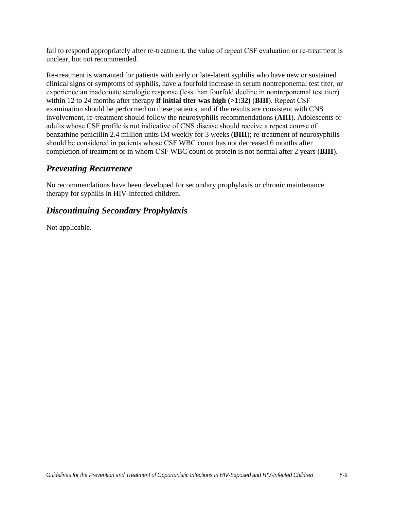fail to respond appropriately after re-treatment, the value of repeat CSF evaluation or re-treatment is unclear, but not recommended.

Re-treatment is warranted for patients with early or late-latent syphilis who have new or sustained clinical signs or symptoms of syphilis, have a fourfold increase in serum nontreponemal test titer, or experience an inadequate serologic response (less than fourfold decline in nontreponemal test titer) within 12 to 24 months after therapy **if initial titer was high (>1:32)** (**BIII**). Repeat CSF examination should be performed on these patients, and if the results are consistent with CNS involvement, re-treatment should follow the neurosyphilis recommendations (**AIII**). Adolescents or adults whose CSF profile is not indicative of CNS disease should receive a repeat course of benzathine penicillin 2.4 million units IM weekly for 3 weeks (**BIII**); re-treatment of neurosyphilis should be considered in patients whose CSF WBC count has not decreased 6 months after completion of treatment or in whom CSF WBC count or protein is not normal after 2 years (**BIII**).

## *Preventing Recurrence*

No recommendations have been developed for secondary prophylaxis or chronic maintenance therapy for syphilis in HIV-infected children.

## *Discontinuing Secondary Prophylaxis*

Not applicable.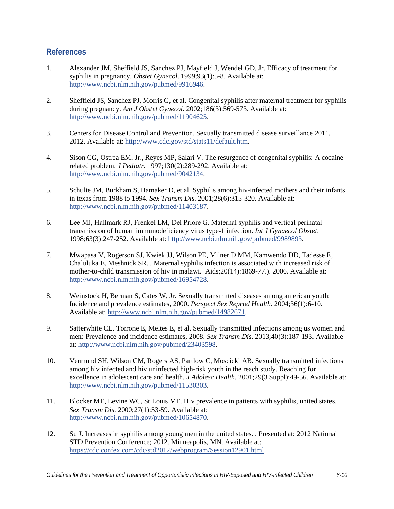## **References**

- 1. Alexander JM, Sheffield JS, Sanchez PJ, Mayfield J, Wendel GD, Jr. Efficacy of treatment for syphilis in pregnancy. *Obstet Gynecol*. 1999;93(1):5-8. Available at: [http://www.ncbi.nlm.nih.gov/pubmed/9916946.](http://www.ncbi.nlm.nih.gov/pubmed/9916946)
- 2. Sheffield JS, Sanchez PJ, Morris G, et al. Congenital syphilis after maternal treatment for syphilis during pregnancy. *Am J Obstet Gynecol*. 2002;186(3):569-573. Available at: [http://www.ncbi.nlm.nih.gov/pubmed/11904625.](http://www.ncbi.nlm.nih.gov/pubmed/11904625)
- 3. Centers for Disease Control and Prevention. Sexually transmitted disease surveillance 2011. 2012. Available at: [http://www.cdc.gov/std/stats11/default.htm.](http://www.cdc.gov/std/stats11/default.htm)
- 4. Sison CG, Ostrea EM, Jr., Reyes MP, Salari V. The resurgence of congenital syphilis: A cocainerelated problem. *J Pediatr*. 1997;130(2):289-292. Available at: [http://www.ncbi.nlm.nih.gov/pubmed/9042134.](http://www.ncbi.nlm.nih.gov/pubmed/9042134)
- 5. Schulte JM, Burkham S, Hamaker D, et al. Syphilis among hiv-infected mothers and their infants in texas from 1988 to 1994. *Sex Transm Dis*. 2001;28(6):315-320. Available at: [http://www.ncbi.nlm.nih.gov/pubmed/11403187.](http://www.ncbi.nlm.nih.gov/pubmed/11403187)
- 6. Lee MJ, Hallmark RJ, Frenkel LM, Del Priore G. Maternal syphilis and vertical perinatal transmission of human immunodeficiency virus type-1 infection. *Int J Gynaecol Obstet*. 1998;63(3):247-252. Available at: [http://www.ncbi.nlm.nih.gov/pubmed/9989893.](http://www.ncbi.nlm.nih.gov/pubmed/9989893)
- 7. Mwapasa V, Rogerson SJ, Kwiek JJ, Wilson PE, Milner D MM, Kamwendo DD, Tadesse E, Chaluluka E, Meshnick SR. . Maternal syphilis infection is associated with increased risk of mother-to-child transmission of hiv in malawi. Aids;20(14):1869-77.). 2006. Available at: [http://www.ncbi.nlm.nih.gov/pubmed/16954728.](http://www.ncbi.nlm.nih.gov/pubmed/16954728)
- 8. Weinstock H, Berman S, Cates W, Jr. Sexually transmitted diseases among american youth: Incidence and prevalence estimates, 2000. *Perspect Sex Reprod Health*. 2004;36(1):6-10. Available at: [http://www.ncbi.nlm.nih.gov/pubmed/14982671.](http://www.ncbi.nlm.nih.gov/pubmed/14982671)
- 9. Satterwhite CL, Torrone E, Meites E, et al. Sexually transmitted infections among us women and men: Prevalence and incidence estimates, 2008. *Sex Transm Dis*. 2013;40(3):187-193. Available at[: http://www.ncbi.nlm.nih.gov/pubmed/23403598.](http://www.ncbi.nlm.nih.gov/pubmed/23403598)
- 10. Vermund SH, Wilson CM, Rogers AS, Partlow C, Moscicki AB. Sexually transmitted infections among hiv infected and hiv uninfected high-risk youth in the reach study. Reaching for excellence in adolescent care and health. *J Adolesc Health*. 2001;29(3 Suppl):49-56. Available at: [http://www.ncbi.nlm.nih.gov/pubmed/11530303.](http://www.ncbi.nlm.nih.gov/pubmed/11530303)
- 11. Blocker ME, Levine WC, St Louis ME. Hiv prevalence in patients with syphilis, united states. *Sex Transm Dis*. 2000;27(1):53-59. Available at: [http://www.ncbi.nlm.nih.gov/pubmed/10654870.](http://www.ncbi.nlm.nih.gov/pubmed/10654870)
- 12. Su J. Increases in syphilis among young men in the united states. . Presented at: 2012 National STD Prevention Conference; 2012. Minneapolis, MN. Available at: [https://cdc.confex.com/cdc/std2012/webprogram/Session12901.html.](https://cdc.confex.com/cdc/std2012/webprogram/Session12901.html)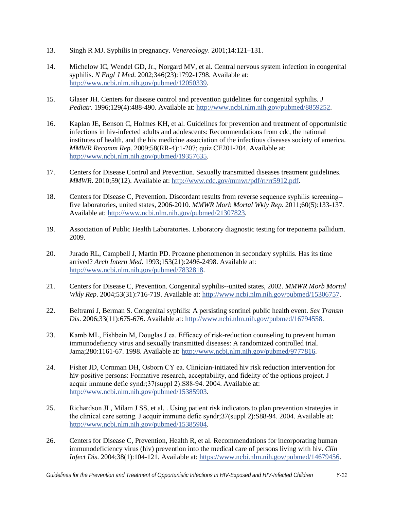- 13. Singh R MJ. Syphilis in pregnancy. *Venereology*. 2001;14:121–131.
- 14. Michelow IC, Wendel GD, Jr., Norgard MV, et al. Central nervous system infection in congenital syphilis. *N Engl J Med*. 2002;346(23):1792-1798. Available at: [http://www.ncbi.nlm.nih.gov/pubmed/12050339.](http://www.ncbi.nlm.nih.gov/pubmed/12050339)
- 15. Glaser JH. Centers for disease control and prevention guidelines for congenital syphilis. *J Pediatr*. 1996;129(4):488-490. Available at: [http://www.ncbi.nlm.nih.gov/pubmed/8859252.](http://www.ncbi.nlm.nih.gov/pubmed/8859252)
- 16. Kaplan JE, Benson C, Holmes KH, et al. Guidelines for prevention and treatment of opportunistic infections in hiv-infected adults and adolescents: Recommendations from cdc, the national institutes of health, and the hiv medicine association of the infectious diseases society of america. *MMWR Recomm Rep*. 2009;58(RR-4):1-207; quiz CE201-204. Available at: [http://www.ncbi.nlm.nih.gov/pubmed/19357635.](http://www.ncbi.nlm.nih.gov/pubmed/19357635)
- 17. Centers for Disease Control and Prevention. Sexually transmitted diseases treatment guidelines. *MMWR*. 2010;59(12). Available at: [http://www.cdc.gov/mmwr/pdf/rr/rr5912.pdf.](http://www.cdc.gov/mmwr/pdf/rr/rr5912.pdf)
- 18. Centers for Disease C, Prevention. Discordant results from reverse sequence syphilis screening- five laboratories, united states, 2006-2010. *MMWR Morb Mortal Wkly Rep*. 2011;60(5):133-137. Available at: [http://www.ncbi.nlm.nih.gov/pubmed/21307823.](http://www.ncbi.nlm.nih.gov/pubmed/21307823)
- 19. Association of Public Health Laboratories. Laboratory diagnostic testing for treponema pallidum. 2009.
- 20. Jurado RL, Campbell J, Martin PD. Prozone phenomenon in secondary syphilis. Has its time arrived? *Arch Intern Med*. 1993;153(21):2496-2498. Available at: [http://www.ncbi.nlm.nih.gov/pubmed/7832818.](http://www.ncbi.nlm.nih.gov/pubmed/7832818)
- 21. Centers for Disease C, Prevention. Congenital syphilis--united states, 2002. *MMWR Morb Mortal Wkly Rep*. 2004;53(31):716-719. Available at: [http://www.ncbi.nlm.nih.gov/pubmed/15306757.](http://www.ncbi.nlm.nih.gov/pubmed/15306757)
- 22. Beltrami J, Berman S. Congenital syphilis: A persisting sentinel public health event. *Sex Transm Dis*. 2006;33(11):675-676. Available at: [http://www.ncbi.nlm.nih.gov/pubmed/16794558.](http://www.ncbi.nlm.nih.gov/pubmed/16794558)
- 23. Kamb ML, Fishbein M, Douglas J ea. Efficacy of risk-reduction counseling to prevent human immunodefiency virus and sexually transmitted diseases: A randomized controlled trial. Jama;280:1161-67. 1998. Available at: [http://www.ncbi.nlm.nih.gov/pubmed/9777816.](http://www.ncbi.nlm.nih.gov/pubmed/9777816)
- 24. Fisher JD, Cornman DH, Osborn CY ea. Clinician-initiated hiv risk reduction intervention for hiv-positive persons: Formative research, acceptability, and fidelity of the options project. J acquir immune defic syndr;37(suppl 2):S88-94. 2004. Available at: [http://www.ncbi.nlm.nih.gov/pubmed/15385903.](http://www.ncbi.nlm.nih.gov/pubmed/15385903)
- 25. Richardson JL, Milam J SS, et al. . Using patient risk indicators to plan prevention strategies in the clinical care setting. J acquir immune defic syndr;37(suppl 2):S88-94. 2004. Available at: [http://www.ncbi.nlm.nih.gov/pubmed/15385904.](http://www.ncbi.nlm.nih.gov/pubmed/15385904)
- 26. Centers for Disease C, Prevention, Health R, et al. Recommendations for incorporating human immunodeficiency virus (hiv) prevention into the medical care of persons living with hiv. *Clin Infect Dis*. 2004;38(1):104-121. Available at: [https://www.ncbi.nlm.nih.gov/pubmed/14679456.](https://www.ncbi.nlm.nih.gov/pubmed/14679456)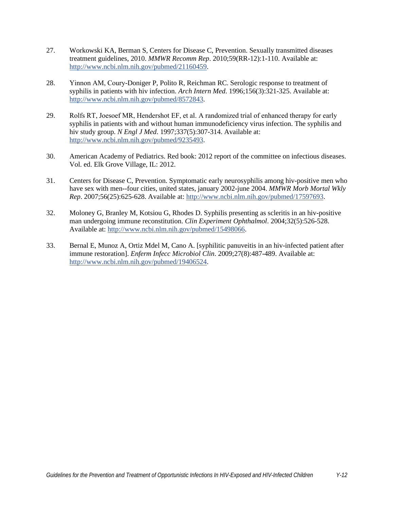- 27. Workowski KA, Berman S, Centers for Disease C, Prevention. Sexually transmitted diseases treatment guidelines, 2010. *MMWR Recomm Rep*. 2010;59(RR-12):1-110. Available at: [http://www.ncbi.nlm.nih.gov/pubmed/21160459.](http://www.ncbi.nlm.nih.gov/pubmed/21160459)
- 28. Yinnon AM, Coury-Doniger P, Polito R, Reichman RC. Serologic response to treatment of syphilis in patients with hiv infection. *Arch Intern Med*. 1996;156(3):321-325. Available at: [http://www.ncbi.nlm.nih.gov/pubmed/8572843.](http://www.ncbi.nlm.nih.gov/pubmed/8572843)
- 29. Rolfs RT, Joesoef MR, Hendershot EF, et al. A randomized trial of enhanced therapy for early syphilis in patients with and without human immunodeficiency virus infection. The syphilis and hiv study group. *N Engl J Med*. 1997;337(5):307-314. Available at: [http://www.ncbi.nlm.nih.gov/pubmed/9235493.](http://www.ncbi.nlm.nih.gov/pubmed/9235493)
- 30. American Academy of Pediatrics. Red book: 2012 report of the committee on infectious diseases. Vol. ed. Elk Grove Village, IL: 2012.
- 31. Centers for Disease C, Prevention. Symptomatic early neurosyphilis among hiv-positive men who have sex with men--four cities, united states, january 2002-june 2004. *MMWR Morb Mortal Wkly Rep*. 2007;56(25):625-628. Available at: [http://www.ncbi.nlm.nih.gov/pubmed/17597693.](http://www.ncbi.nlm.nih.gov/pubmed/17597693)
- 32. Moloney G, Branley M, Kotsiou G, Rhodes D. Syphilis presenting as scleritis in an hiv-positive man undergoing immune reconstitution. *Clin Experiment Ophthalmol*. 2004;32(5):526-528. Available at: [http://www.ncbi.nlm.nih.gov/pubmed/15498066.](http://www.ncbi.nlm.nih.gov/pubmed/15498066)
- 33. Bernal E, Munoz A, Ortiz Mdel M, Cano A. [syphilitic panuveitis in an hiv-infected patient after immune restoration]. *Enferm Infecc Microbiol Clin*. 2009;27(8):487-489. Available at: [http://www.ncbi.nlm.nih.gov/pubmed/19406524.](http://www.ncbi.nlm.nih.gov/pubmed/19406524)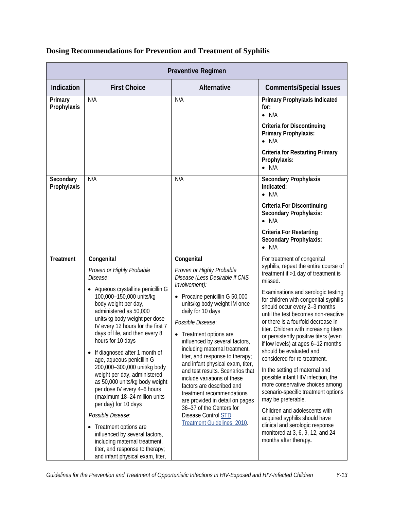| <b>Preventive Regimen</b> |                                                                                                                                                                                                                                                                                                                                                                                                                                                                                                                                                                                                                                                                                                                                                                             |                                                                                                                                                                                                                                                                                                                                                                                                                                                                                                                                                                                                                                      |                                                                                                                                                                                                                                                                                                                                                                                                                                                                                                                                                                                                                                                                                                                                                                                                                                                   |  |
|---------------------------|-----------------------------------------------------------------------------------------------------------------------------------------------------------------------------------------------------------------------------------------------------------------------------------------------------------------------------------------------------------------------------------------------------------------------------------------------------------------------------------------------------------------------------------------------------------------------------------------------------------------------------------------------------------------------------------------------------------------------------------------------------------------------------|--------------------------------------------------------------------------------------------------------------------------------------------------------------------------------------------------------------------------------------------------------------------------------------------------------------------------------------------------------------------------------------------------------------------------------------------------------------------------------------------------------------------------------------------------------------------------------------------------------------------------------------|---------------------------------------------------------------------------------------------------------------------------------------------------------------------------------------------------------------------------------------------------------------------------------------------------------------------------------------------------------------------------------------------------------------------------------------------------------------------------------------------------------------------------------------------------------------------------------------------------------------------------------------------------------------------------------------------------------------------------------------------------------------------------------------------------------------------------------------------------|--|
| Indication                | <b>First Choice</b>                                                                                                                                                                                                                                                                                                                                                                                                                                                                                                                                                                                                                                                                                                                                                         | Alternative                                                                                                                                                                                                                                                                                                                                                                                                                                                                                                                                                                                                                          | <b>Comments/Special Issues</b>                                                                                                                                                                                                                                                                                                                                                                                                                                                                                                                                                                                                                                                                                                                                                                                                                    |  |
| Primary<br>Prophylaxis    | N/A                                                                                                                                                                                                                                                                                                                                                                                                                                                                                                                                                                                                                                                                                                                                                                         | N/A                                                                                                                                                                                                                                                                                                                                                                                                                                                                                                                                                                                                                                  | Primary Prophylaxis Indicated<br>for:<br>$\bullet$ N/A<br><b>Criteria for Discontinuing</b><br>Primary Prophylaxis:<br>$\bullet$ N/A<br><b>Criteria for Restarting Primary</b><br>Prophylaxis:<br>$\bullet$ N/A                                                                                                                                                                                                                                                                                                                                                                                                                                                                                                                                                                                                                                   |  |
| Secondary<br>Prophylaxis  | N/A                                                                                                                                                                                                                                                                                                                                                                                                                                                                                                                                                                                                                                                                                                                                                                         | N/A                                                                                                                                                                                                                                                                                                                                                                                                                                                                                                                                                                                                                                  | <b>Secondary Prophylaxis</b><br>Indicated:<br>$\bullet$ N/A<br><b>Criteria For Discontinuing</b><br><b>Secondary Prophylaxis:</b><br>$\bullet$ N/A<br><b>Criteria For Restarting</b><br><b>Secondary Prophylaxis:</b><br>$\bullet$ N/A                                                                                                                                                                                                                                                                                                                                                                                                                                                                                                                                                                                                            |  |
| <b>Treatment</b>          | Congenital<br>Proven or Highly Probable<br>Disease:<br>Aqueous crystalline penicillin G<br>100,000-150,000 units/kg<br>body weight per day,<br>administered as 50,000<br>units/kg body weight per dose<br>IV every 12 hours for the first 7<br>days of life, and then every 8<br>hours for 10 days<br>If diagnosed after 1 month of<br>$\bullet$<br>age, aqueous penicillin G<br>200,000-300,000 unit/kg body<br>weight per day, administered<br>as 50,000 units/kg body weight<br>per dose IV every 4-6 hours<br>(maximum 18-24 million units<br>per day) for 10 days<br>Possible Disease:<br>Treatment options are<br>$\bullet$<br>influenced by several factors,<br>including maternal treatment,<br>titer, and response to therapy;<br>and infant physical exam, titer, | Congenital<br>Proven or Highly Probable<br>Disease (Less Desirable if CNS<br>Involvement):<br>• Procaine penicillin G 50,000<br>units/kg body weight IM once<br>daily for 10 days<br>Possible Disease:<br>• Treatment options are<br>influenced by several factors,<br>including maternal treatment,<br>titer, and response to therapy;<br>and infant physical exam, titer,<br>and test results. Scenarios that<br>include variations of these<br>factors are described and<br>treatment recommendations<br>are provided in detail on pages<br>36-37 of the Centers for<br><b>Disease Control STD</b><br>Treatment Guidelines, 2010. | For treatment of congenital<br>syphilis, repeat the entire course of<br>treatment if >1 day of treatment is<br>missed.<br>Examinations and serologic testing<br>for children with congenital syphilis<br>should occur every 2-3 months<br>until the test becomes non-reactive<br>or there is a fourfold decrease in<br>titer. Children with increasing titers<br>or persistently positive titers (even<br>if low levels) at ages 6-12 months<br>should be evaluated and<br>considered for re-treatment.<br>In the setting of maternal and<br>possible infant HIV infection, the<br>more conservative choices among<br>scenario-specific treatment options<br>may be preferable.<br>Children and adolescents with<br>acquired syphilis should have<br>clinical and serologic response<br>monitored at 3, 6, 9, 12, and 24<br>months after therapy. |  |

# **Dosing Recommendations for Prevention and Treatment of Syphilis**